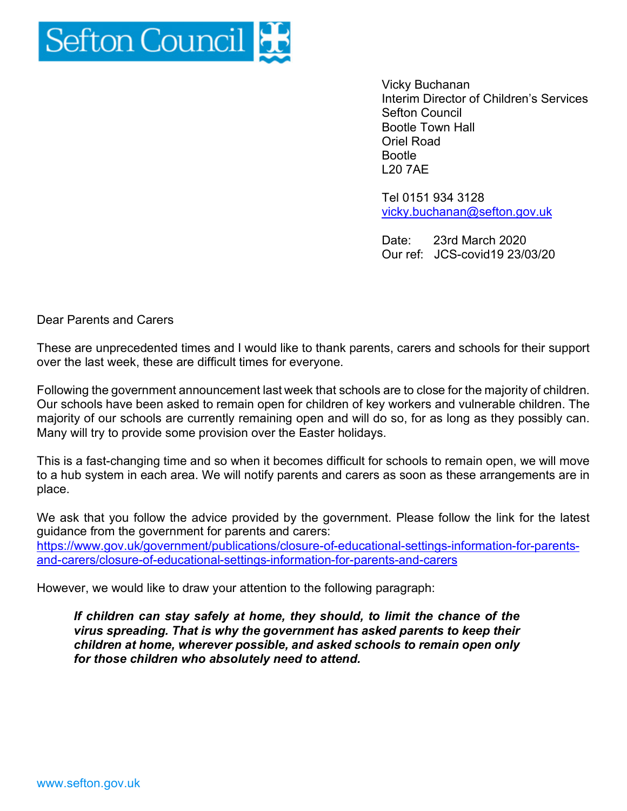

Vicky Buchanan Interim Director of Children's Services Sefton Council Bootle Town Hall Oriel Road Bootle L20 7AE

Tel 0151 934 3128 vicky.buchanan@sefton.gov.uk

Date: 23rd March 2020 Our ref: JCS-covid19 23/03/20

Dear Parents and Carers

These are unprecedented times and I would like to thank parents, carers and schools for their support over the last week, these are difficult times for everyone.

Following the government announcement last week that schools are to close for the majority of children. Our schools have been asked to remain open for children of key workers and vulnerable children. The majority of our schools are currently remaining open and will do so, for as long as they possibly can. Many will try to provide some provision over the Easter holidays.

This is a fast-changing time and so when it becomes difficult for schools to remain open, we will move to a hub system in each area. We will notify parents and carers as soon as these arrangements are in place.

We ask that you follow the advice provided by the government. Please follow the link for the latest guidance from the government for parents and carers: https://www.gov.uk/government/publications/closure-of-educational-settings-information-for-parentsand-carers/closure-of-educational-settings-information-for-parents-and-carers

However, we would like to draw your attention to the following paragraph:

*If children can stay safely at home, they should, to limit the chance of the virus spreading. That is why the government has asked parents to keep their children at home, wherever possible, and asked schools to remain open only for those children who absolutely need to attend.*